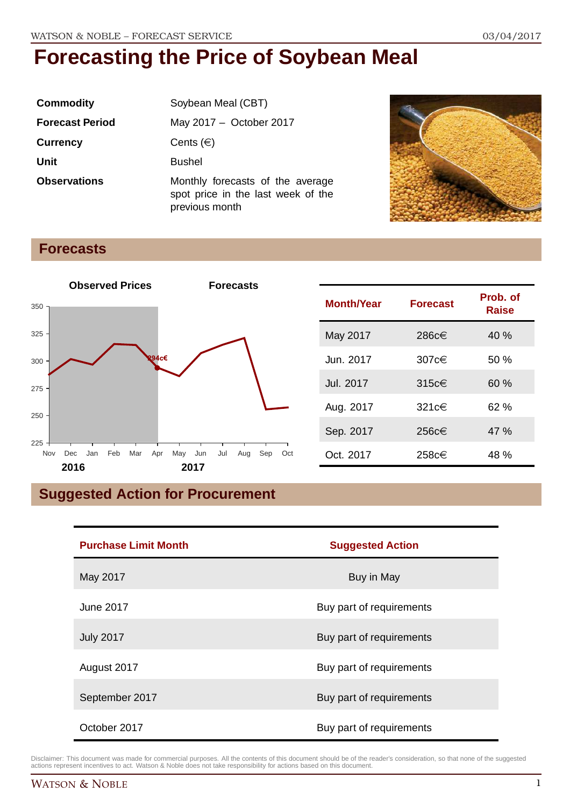| <b>Commodity</b>       | Soybean Meal (CBT)                                                                       |  |
|------------------------|------------------------------------------------------------------------------------------|--|
| <b>Forecast Period</b> | May 2017 - October 2017                                                                  |  |
| <b>Currency</b>        | Cents $(\in)$                                                                            |  |
| <b>Unit</b>            | <b>Bushel</b>                                                                            |  |
| <b>Observations</b>    | Monthly forecasts of the average<br>spot price in the last week of the<br>previous month |  |



### **Forecasts**



| <b>Month/Year</b> | <b>Forecast</b> | Prob. of<br>Raise |
|-------------------|-----------------|-------------------|
| May 2017          | 286c€           | 40 %              |
| Jun. 2017         | 307 $c€$        | 50%               |
| Jul. 2017         | $315c \in$      | 60%               |
| Aug. 2017         | 321c€           | 62 %              |
| Sep. 2017         | 256c€           | 47 %              |
| Oct. 2017         | 258c€           | 48 %              |

# **Suggested Action for Procurement**

| <b>Purchase Limit Month</b> | <b>Suggested Action</b>  |  |
|-----------------------------|--------------------------|--|
| May 2017                    | Buy in May               |  |
| <b>June 2017</b>            | Buy part of requirements |  |
| <b>July 2017</b>            | Buy part of requirements |  |
| August 2017                 | Buy part of requirements |  |
| September 2017              | Buy part of requirements |  |
| October 2017                | Buy part of requirements |  |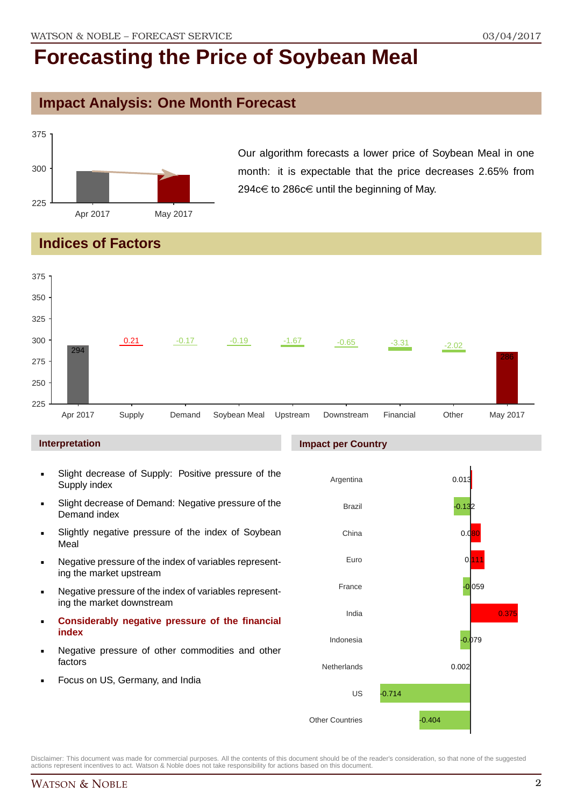### **Impact Analysis: One Month Forecast**



Our algorithm forecasts a lower price of Soybean Meal in one month: it is expectable that the price decreases 2.65% from 294 $c \in$  to 286 $c \in$  until the beginning of May.

# **Indices of Factors**



**Impact per Country**

#### **Interpretation**

- Slight decrease of Supply: Positive pressure of the Supply index
- Slight decrease of Demand: Negative pressure of the Demand index
- Slightly negative pressure of the index of Soybean Meal
- Negative pressure of the index of variables representing the market upstream
- Negative pressure of the index of variables representing the market downstream
- **Considerably negative pressure of the financial index**
- Negative pressure of other commodities and other factors
- Focus on US, Germany, and India

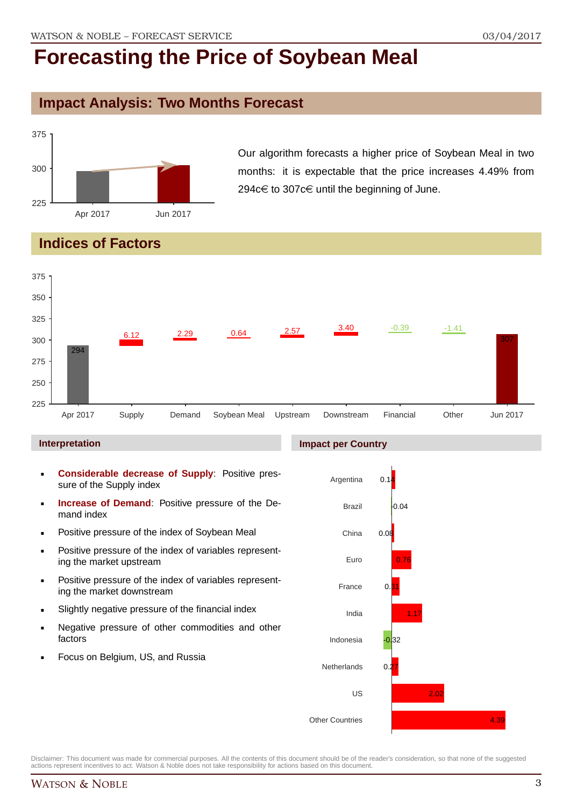### **Impact Analysis: Two Months Forecast**



Our algorithm forecasts a higher price of Soybean Meal in two months: it is expectable that the price increases 4.49% from 294 $c \in$  to 307 $c \in$  until the beginning of June.

# **Indices of Factors**



#### **Interpretation**

- **Considerable decrease of Supply**: Positive pressure of the Supply index
- **Increase of Demand**: Positive pressure of the Demand index
- **Positive pressure of the index of Soybean Meal**
- **Positive pressure of the index of variables represent**ing the market upstream
- Positive pressure of the index of variables representing the market downstream
- Slightly negative pressure of the financial index
- **Negative pressure of other commodities and other** factors
- Focus on Belgium, US, and Russia

#### **Impact per Country**

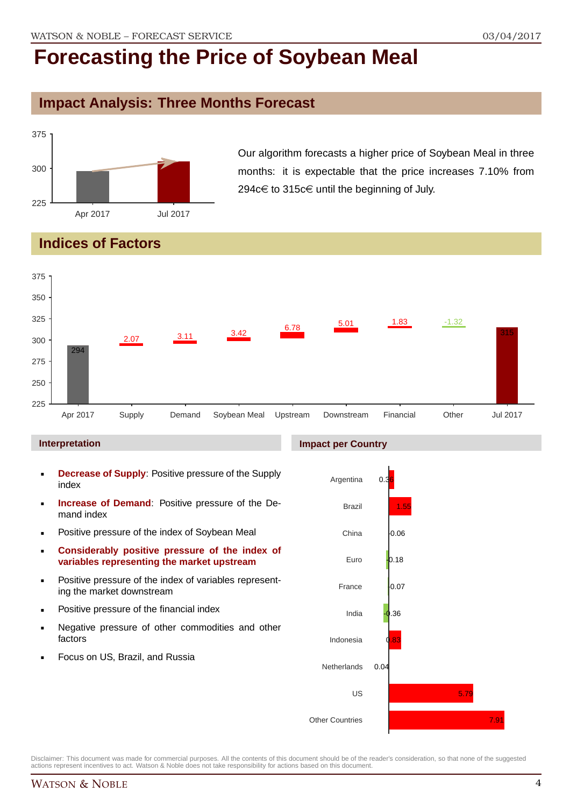### **Impact Analysis: Three Months Forecast**



Our algorithm forecasts a higher price of Soybean Meal in three months: it is expectable that the price increases 7.10% from 294 $c \in \mathfrak{t}$  to 315 $c \in \mathfrak{t}$  until the beginning of July.

# **Indices of Factors**



#### **Interpretation**

- **Decrease of Supply**: Positive pressure of the Supply index
- **Increase of Demand**: Positive pressure of the Demand index
- **Positive pressure of the index of Soybean Meal**
- **Considerably positive pressure of the index of variables representing the market upstream**
- Positive pressure of the index of variables representing the market downstream
- **•** Positive pressure of the financial index
- **Negative pressure of other commodities and other** factors
- Focus on US, Brazil, and Russia

#### **Impact per Country**

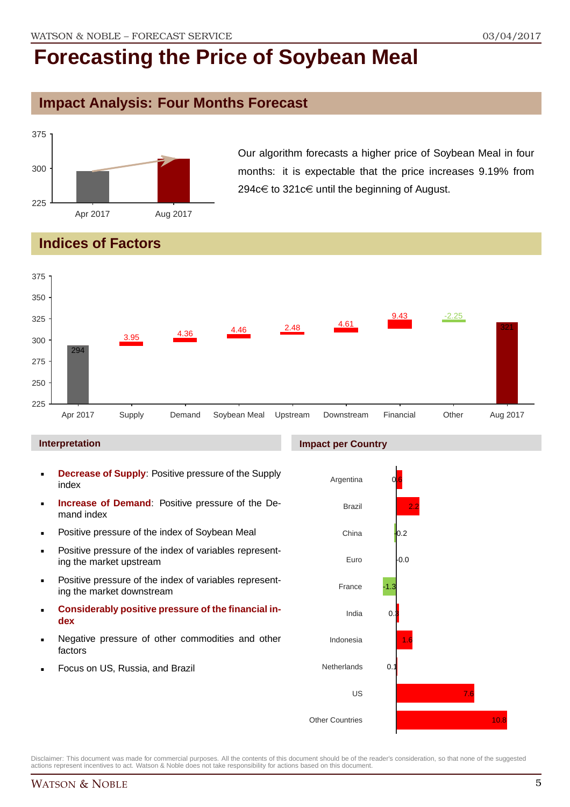# **Impact Analysis: Four Months Forecast**



Our algorithm forecasts a higher price of Soybean Meal in four months: it is expectable that the price increases 9.19% from 294 $c \in$  to 321 $c \in$  until the beginning of August.

# **Indices of Factors**



#### **Interpretation**

- **Decrease of Supply**: Positive pressure of the Supply index
- **Increase of Demand**: Positive pressure of the Demand index
- **Positive pressure of the index of Soybean Meal**
- **Positive pressure of the index of variables represent**ing the market upstream
- Positive pressure of the index of variables representing the market downstream
- **Considerably positive pressure of the financial index**
- Negative pressure of other commodities and other factors
- Focus on US, Russia, and Brazil

#### **Impact per Country**

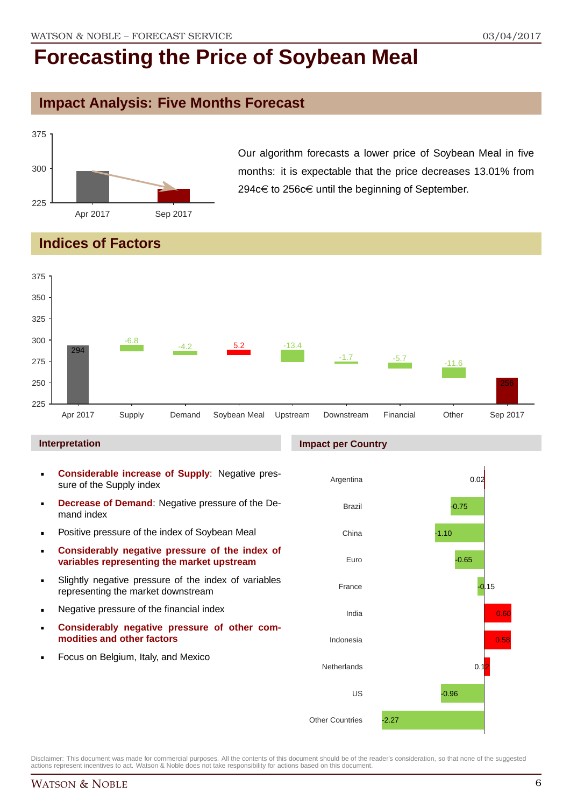### **Impact Analysis: Five Months Forecast**



Our algorithm forecasts a lower price of Soybean Meal in five months: it is expectable that the price decreases 13.01% from 294 $c$ € to 256 $c$ € until the beginning of September.

# **Indices of Factors**



#### **Interpretation**

- **Considerable increase of Supply**: Negative pressure of the Supply index
- **Decrease of Demand**: Negative pressure of the Demand index
- **Positive pressure of the index of Soybean Meal**
- **Considerably negative pressure of the index of variables representing the market upstream**
- Slightly negative pressure of the index of variables representing the market downstream
- **Negative pressure of the financial index**
- **Considerably negative pressure of other commodities and other factors**
- **Focus on Belgium, Italy, and Mexico**



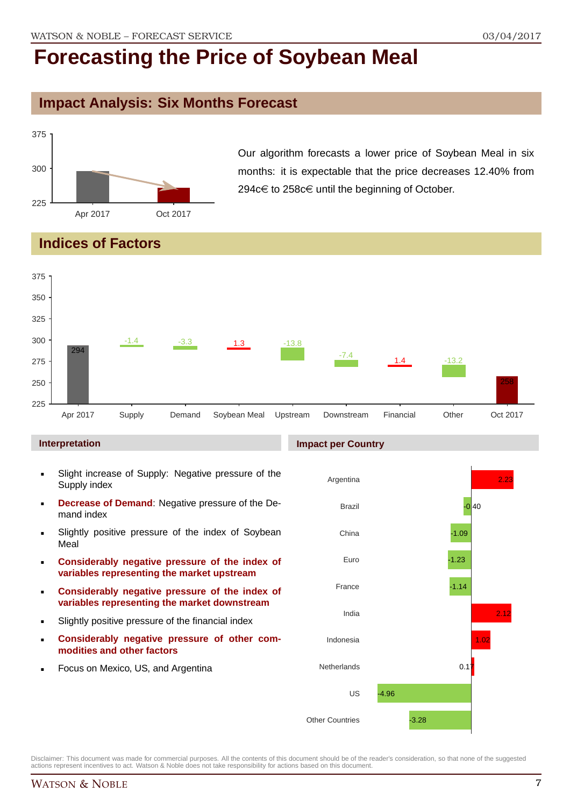### **Impact Analysis: Six Months Forecast**



Our algorithm forecasts a lower price of Soybean Meal in six months: it is expectable that the price decreases 12.40% from 294 $c$ € to 258 $c$ ∈ until the beginning of October.

### **Indices of Factors**



#### **Interpretation**

- Slight increase of Supply: Negative pressure of the Supply index
- **Decrease of Demand**: Negative pressure of the Demand index
- **Slightly positive pressure of the index of Soybean** Meal
- **Considerably negative pressure of the index of variables representing the market upstream**
- **Considerably negative pressure of the index of variables representing the market downstream**
- Slightly positive pressure of the financial index
- **Considerably negative pressure of other commodities and other factors**
- Focus on Mexico, US, and Argentina

#### **Impact per Country**

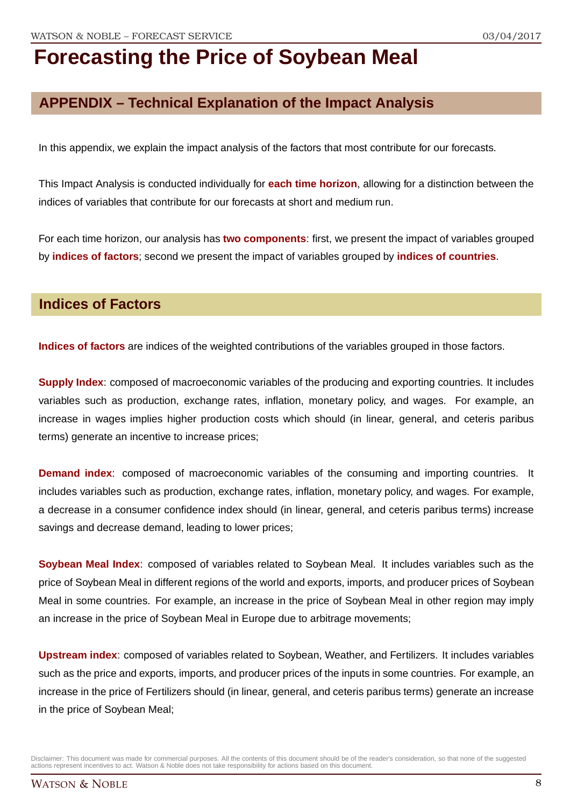# **APPENDIX – Technical Explanation of the Impact Analysis**

In this appendix, we explain the impact analysis of the factors that most contribute for our forecasts.

This Impact Analysis is conducted individually for **each time horizon**, allowing for a distinction between the indices of variables that contribute for our forecasts at short and medium run.

For each time horizon, our analysis has **two components**: first, we present the impact of variables grouped by **indices of factors**; second we present the impact of variables grouped by **indices of countries**.

### **Indices of Factors**

**Indices of factors** are indices of the weighted contributions of the variables grouped in those factors.

**Supply Index**: composed of macroeconomic variables of the producing and exporting countries. It includes variables such as production, exchange rates, inflation, monetary policy, and wages. For example, an increase in wages implies higher production costs which should (in linear, general, and ceteris paribus terms) generate an incentive to increase prices;

**Demand index**: composed of macroeconomic variables of the consuming and importing countries. It includes variables such as production, exchange rates, inflation, monetary policy, and wages. For example, a decrease in a consumer confidence index should (in linear, general, and ceteris paribus terms) increase savings and decrease demand, leading to lower prices;

**Soybean Meal Index**: composed of variables related to Soybean Meal. It includes variables such as the price of Soybean Meal in different regions of the world and exports, imports, and producer prices of Soybean Meal in some countries. For example, an increase in the price of Soybean Meal in other region may imply an increase in the price of Soybean Meal in Europe due to arbitrage movements;

**Upstream index**: composed of variables related to Soybean, Weather, and Fertilizers. It includes variables such as the price and exports, imports, and producer prices of the inputs in some countries. For example, an increase in the price of Fertilizers should (in linear, general, and ceteris paribus terms) generate an increase in the price of Soybean Meal;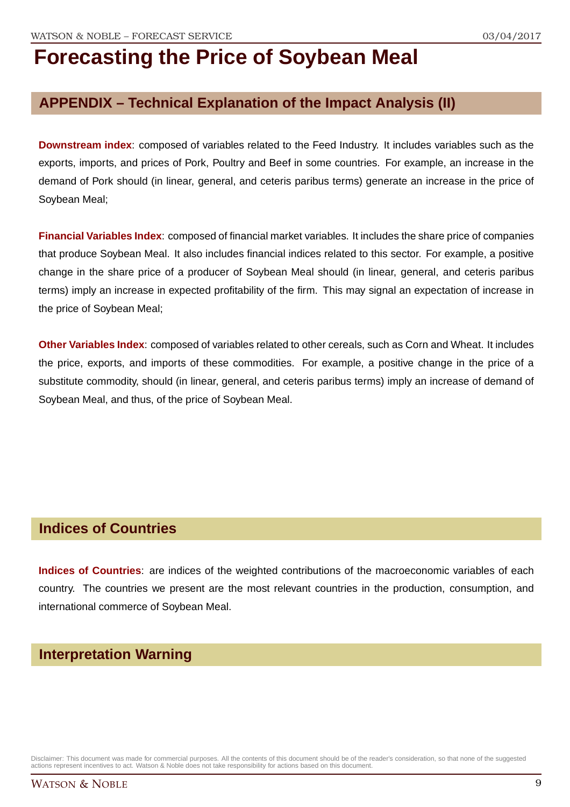# **APPENDIX – Technical Explanation of the Impact Analysis (II)**

**Downstream index**: composed of variables related to the Feed Industry. It includes variables such as the exports, imports, and prices of Pork, Poultry and Beef in some countries. For example, an increase in the demand of Pork should (in linear, general, and ceteris paribus terms) generate an increase in the price of Soybean Meal;

**Financial Variables Index**: composed of financial market variables. It includes the share price of companies that produce Soybean Meal. It also includes financial indices related to this sector. For example, a positive change in the share price of a producer of Soybean Meal should (in linear, general, and ceteris paribus terms) imply an increase in expected profitability of the firm. This may signal an expectation of increase in the price of Soybean Meal;

**Other Variables Index**: composed of variables related to other cereals, such as Corn and Wheat. It includes the price, exports, and imports of these commodities. For example, a positive change in the price of a substitute commodity, should (in linear, general, and ceteris paribus terms) imply an increase of demand of Soybean Meal, and thus, of the price of Soybean Meal.

### **Indices of Countries**

**Indices of Countries**: are indices of the weighted contributions of the macroeconomic variables of each country. The countries we present are the most relevant countries in the production, consumption, and international commerce of Soybean Meal.

### **Interpretation Warning**